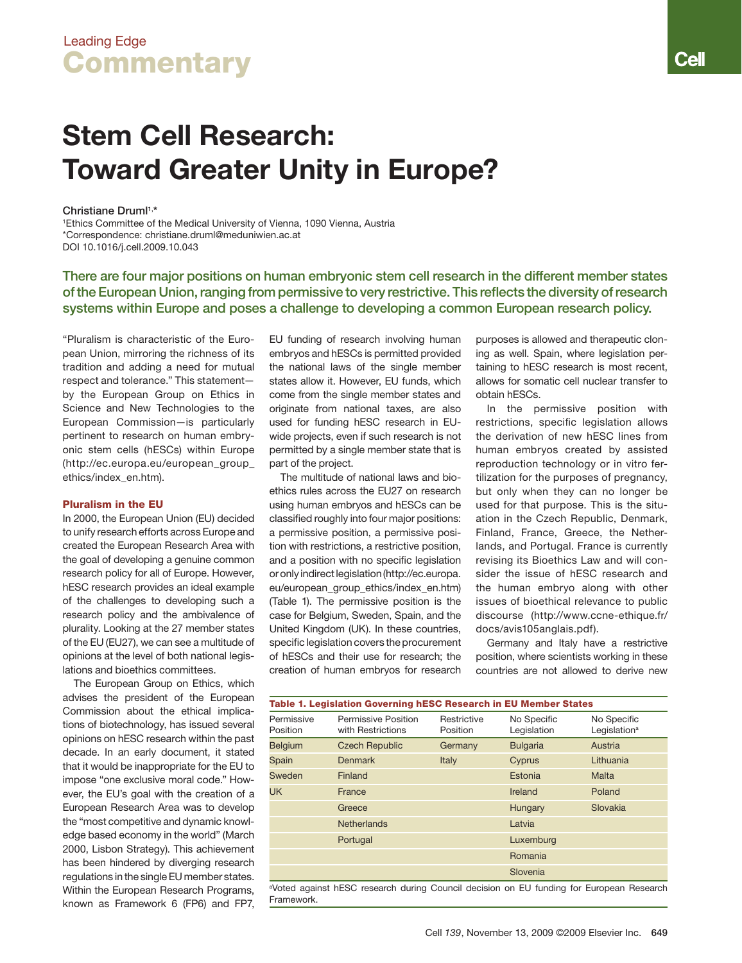# Stem Cell Research: Toward Greater Unity in Europe?

Christiane Druml<sup>1,\*</sup>

1 Ethics Committee of the Medical University of Vienna, 1090 Vienna, Austria \*Correspondence: christiane.druml@meduniwien.ac.at DOI 10.1016/j.cell.2009.10.043

There are four major positions on human embryonic stem cell research in the different member states of the European Union, ranging from permissive to very restrictive. This reflects the diversity of research systems within Europe and poses a challenge to developing a common European research policy.

"Pluralism is characteristic of the European Union, mirroring the richness of its tradition and adding a need for mutual respect and tolerance." This statement by the European Group on Ethics in Science and New Technologies to the European Commission—is particularly pertinent to research on human embryonic stem cells (hESCs) within Europe (http://ec.europa.eu/european\_group\_ ethics/index\_en.htm).

## Pluralism in the EU

In 2000, the European Union (EU) decided to unify research efforts across Europe and created the European Research Area with the goal of developing a genuine common research policy for all of Europe. However, hESC research provides an ideal example of the challenges to developing such a research policy and the ambivalence of plurality. Looking at the 27 member states of the EU (EU27), we can see a multitude of opinions at the level of both national legislations and bioethics committees.

The European Group on Ethics, which advises the president of the European Commission about the ethical implications of biotechnology, has issued several opinions on hESC research within the past decade. In an early document, it stated that it would be inappropriate for the EU to impose "one exclusive moral code." However, the EU's goal with the creation of a European Research Area was to develop the "most competitive and dynamic knowledge based economy in the world" (March 2000, Lisbon Strategy). This achievement has been hindered by diverging research regulations in the single EU member states. Within the European Research Programs, known as Framework 6 (FP6) and FP7,

EU funding of research involving human embryos and hESCs is permitted provided the national laws of the single member states allow it. However, EU funds, which come from the single member states and originate from national taxes, are also used for funding hESC research in EUwide projects, even if such research is not permitted by a single member state that is part of the project.

The multitude of national laws and bioethics rules across the EU27 on research using human embryos and hESCs can be classified roughly into four major positions: a permissive position, a permissive position with restrictions, a restrictive position, and a position with no specific legislation or only indirect legislation (http://ec.europa. eu/european\_group\_ethics/index\_en.htm) (Table 1). The permissive position is the case for Belgium, Sweden, Spain, and the United Kingdom (UK). In these countries, specific legislation covers the procurement of hESCs and their use for research; the creation of human embryos for research

purposes is allowed and therapeutic cloning as well. Spain, where legislation pertaining to hESC research is most recent, allows for somatic cell nuclear transfer to obtain hESCs.

In the permissive position with restrictions, specific legislation allows the derivation of new hESC lines from human embryos created by assisted reproduction technology or in vitro fertilization for the purposes of pregnancy, but only when they can no longer be used for that purpose. This is the situation in the Czech Republic, Denmark, Finland, France, Greece, the Netherlands, and Portugal. France is currently revising its Bioethics Law and will consider the issue of hESC research and the human embryo along with other issues of bioethical relevance to public discourse (http://www.ccne-ethique.fr/ docs/avis105anglais.pdf).

Germany and Italy have a restrictive position, where scientists working in these countries are not allowed to derive new

| Table 1. Legislation Governing hESC Research in EU Member States |                                          |                         |                            |                                         |
|------------------------------------------------------------------|------------------------------------------|-------------------------|----------------------------|-----------------------------------------|
| Permissive<br>Position                                           | Permissive Position<br>with Restrictions | Restrictive<br>Position | No Specific<br>Legislation | No Specific<br>Legislation <sup>a</sup> |
| <b>Belgium</b>                                                   | <b>Czech Republic</b>                    | Germany                 | <b>Bulgaria</b>            | Austria                                 |
| Spain                                                            | <b>Denmark</b>                           | Italy                   | Cyprus                     | Lithuania                               |
| Sweden                                                           | <b>Finland</b>                           |                         | Estonia                    | Malta                                   |
| <b>UK</b>                                                        | France                                   |                         | Ireland                    | Poland                                  |
|                                                                  | Greece                                   |                         | Hungary                    | Slovakia                                |
|                                                                  | <b>Netherlands</b>                       |                         | Latvia                     |                                         |
|                                                                  | Portugal                                 |                         | Luxemburg                  |                                         |
|                                                                  |                                          |                         | Romania                    |                                         |
|                                                                  |                                          |                         | Slovenia                   |                                         |

a Voted against hESC research during Council decision on EU funding for European Research Framework.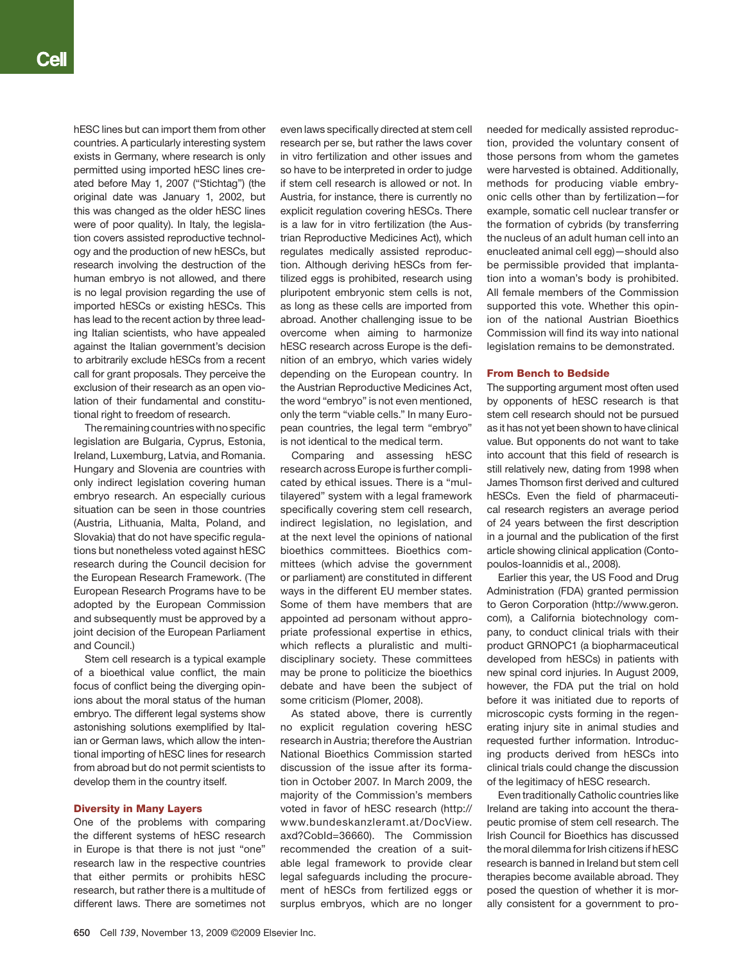hESC lines but can import them from other countries. A particularly interesting system exists in Germany, where research is only permitted using imported hESC lines created before May 1, 2007 ("Stichtag") (the original date was January 1, 2002, but this was changed as the older hESC lines were of poor quality). In Italy, the legislation covers assisted reproductive technology and the production of new hESCs, but research involving the destruction of the human embryo is not allowed, and there is no legal provision regarding the use of imported hESCs or existing hESCs. This has lead to the recent action by three leading Italian scientists, who have appealed against the Italian government's decision to arbitrarily exclude hESCs from a recent call for grant proposals. They perceive the exclusion of their research as an open violation of their fundamental and constitutional right to freedom of research.

The remaining countries with no specific legislation are Bulgaria, Cyprus, Estonia, Ireland, Luxemburg, Latvia, and Romania. Hungary and Slovenia are countries with only indirect legislation covering human embryo research. An especially curious situation can be seen in those countries (Austria, Lithuania, Malta, Poland, and Slovakia) that do not have specific regulations but nonetheless voted against hESC research during the Council decision for the European Research Framework. (The European Research Programs have to be adopted by the European Commission and subsequently must be approved by a joint decision of the European Parliament and Council.)

Stem cell research is a typical example of a bioethical value conflict, the main focus of conflict being the diverging opinions about the moral status of the human embryo. The different legal systems show astonishing solutions exemplified by Italian or German laws, which allow the intentional importing of hESC lines for research from abroad but do not permit scientists to develop them in the country itself.

# Diversity in Many Layers

One of the problems with comparing the different systems of hESC research in Europe is that there is not just "one" research law in the respective countries that either permits or prohibits hESC research, but rather there is a multitude of different laws. There are sometimes not even laws specifically directed at stem cell research per se, but rather the laws cover in vitro fertilization and other issues and so have to be interpreted in order to judge if stem cell research is allowed or not. In Austria, for instance, there is currently no explicit regulation covering hESCs. There is a law for in vitro fertilization (the Austrian Reproductive Medicines Act), which regulates medically assisted reproduction. Although deriving hESCs from fertilized eggs is prohibited, research using pluripotent embryonic stem cells is not, as long as these cells are imported from abroad. Another challenging issue to be overcome when aiming to harmonize hESC research across Europe is the definition of an embryo, which varies widely depending on the European country. In the Austrian Reproductive Medicines Act, the word "embryo" is not even mentioned, only the term "viable cells." In many European countries, the legal term "embryo" is not identical to the medical term.

Comparing and assessing hESC research across Europe is further complicated by ethical issues. There is a "multilayered" system with a legal framework specifically covering stem cell research, indirect legislation, no legislation, and at the next level the opinions of national bioethics committees. Bioethics committees (which advise the government or parliament) are constituted in different ways in the different EU member states. Some of them have members that are appointed ad personam without appropriate professional expertise in ethics, which reflects a pluralistic and multidisciplinary society. These committees may be prone to politicize the bioethics debate and have been the subject of some criticism (Plomer, 2008).

As stated above, there is currently no explicit regulation covering hESC research in Austria; therefore the Austrian National Bioethics Commission started discussion of the issue after its formation in October 2007. In March 2009, the majority of the Commission's members voted in favor of hESC research (http:// www.bundeskanzleramt.at/DocView. axd?CobId=36660). The Commission recommended the creation of a suitable legal framework to provide clear legal safeguards including the procurement of hESCs from fertilized eggs or surplus embryos, which are no longer

needed for medically assisted reproduction, provided the voluntary consent of those persons from whom the gametes were harvested is obtained. Additionally, methods for producing viable embryonic cells other than by fertilization—for example, somatic cell nuclear transfer or the formation of cybrids (by transferring the nucleus of an adult human cell into an enucleated animal cell egg)—should also be permissible provided that implantation into a woman's body is prohibited. All female members of the Commission supported this vote. Whether this opinion of the national Austrian Bioethics Commission will find its way into national legislation remains to be demonstrated.

#### From Bench to Bedside

The supporting argument most often used by opponents of hESC research is that stem cell research should not be pursued as it has not yet been shown to have clinical value. But opponents do not want to take into account that this field of research is still relatively new, dating from 1998 when James Thomson first derived and cultured hESCs. Even the field of pharmaceutical research registers an average period of 24 years between the first description in a journal and the publication of the first article showing clinical application (Contopoulos-Ioannidis et al., 2008).

Earlier this year, the US Food and Drug Administration (FDA) granted permission to Geron Corporation (http://www.geron. com), a California biotechnology company, to conduct clinical trials with their product GRNOPC1 (a biopharmaceutical developed from hESCs) in patients with new spinal cord injuries. In August 2009, however, the FDA put the trial on hold before it was initiated due to reports of microscopic cysts forming in the regenerating injury site in animal studies and requested further information. Introducing products derived from hESCs into clinical trials could change the discussion of the legitimacy of hESC research.

Even traditionally Catholic countries like Ireland are taking into account the therapeutic promise of stem cell research. The Irish Council for Bioethics has discussed the moral dilemma for Irish citizens if hESC research is banned in Ireland but stem cell therapies become available abroad. They posed the question of whether it is morally consistent for a government to pro-